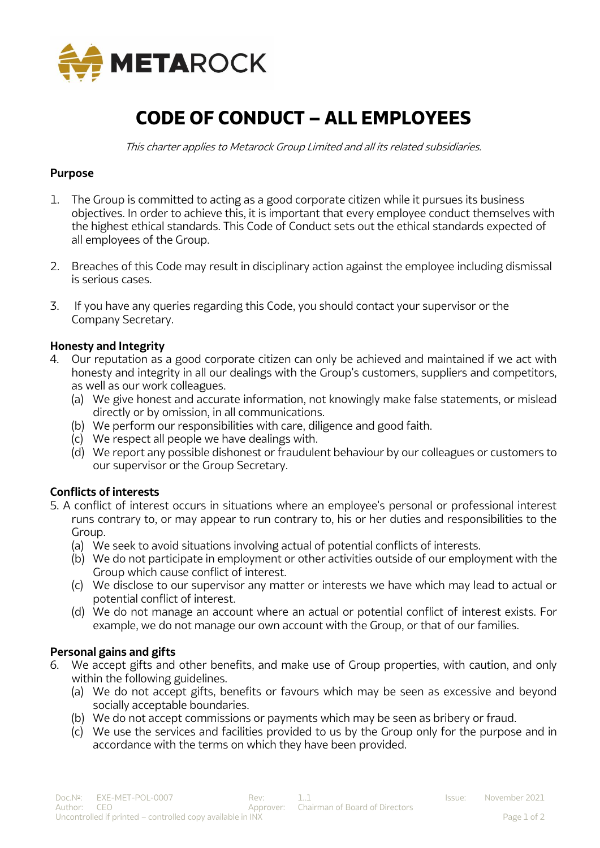

# **CODE OF CONDUCT – ALL EMPLOYEES**

This charter applies to Metarock Group Limited and all its related subsidiaries.

#### **Purpose**

- 1. The Group is committed to acting as a good corporate citizen while it pursues its business objectives. In order to achieve this, it is important that every employee conduct themselves with the highest ethical standards. This Code of Conduct sets out the ethical standards expected of all employees of the Group.
- 2. Breaches of this Code may result in disciplinary action against the employee including dismissal is serious cases.
- 3. If you have any queries regarding this Code, you should contact your supervisor or the Company Secretary.

#### **Honesty and Integrity**

- 4. Our reputation as a good corporate citizen can only be achieved and maintained if we act with honesty and integrity in all our dealings with the Group's customers, suppliers and competitors, as well as our work colleagues.
	- (a) We give honest and accurate information, not knowingly make false statements, or mislead directly or by omission, in all communications.
	- (b) We perform our responsibilities with care, diligence and good faith.
	- (c) We respect all people we have dealings with.
	- (d) We report any possible dishonest or fraudulent behaviour by our colleagues or customers to our supervisor or the Group Secretary.

#### **Conflicts of interests**

- 5. A conflict of interest occurs in situations where an employee's personal or professional interest runs contrary to, or may appear to run contrary to, his or her duties and responsibilities to the Group.
	- (a) We seek to avoid situations involving actual of potential conflicts of interests.
	- (b) We do not participate in employment or other activities outside of our employment with the Group which cause conflict of interest.
	- (c) We disclose to our supervisor any matter or interests we have which may lead to actual or potential conflict of interest.
	- (d) We do not manage an account where an actual or potential conflict of interest exists. For example, we do not manage our own account with the Group, or that of our families.

#### **Personal gains and gifts**

- 6. We accept gifts and other benefits, and make use of Group properties, with caution, and only within the following guidelines.
	- (a) We do not accept gifts, benefits or favours which may be seen as excessive and beyond socially acceptable boundaries.
	- (b) We do not accept commissions or payments which may be seen as bribery or fraud.
	- (c) We use the services and facilities provided to us by the Group only for the purpose and in accordance with the terms on which they have been provided.